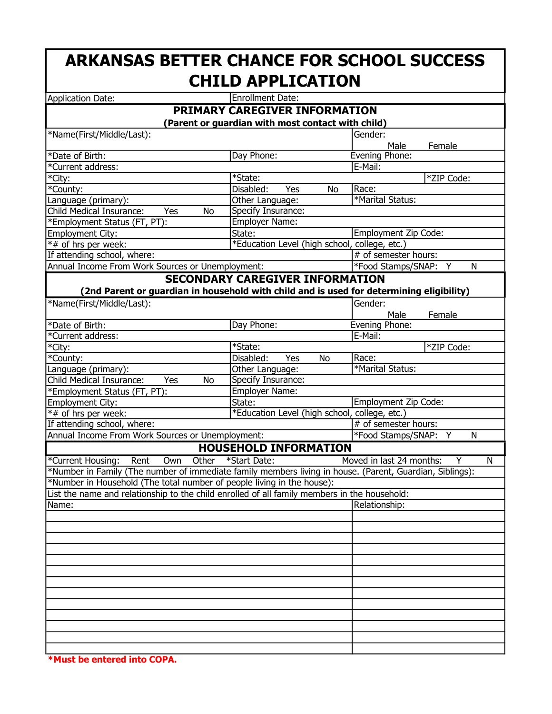## ARKANSAS BETTER CHANCE FOR SCHOOL SUCCESS CHILD APPLICATION

| <b>Application Date:</b>                                                                                 | Enrollment Date:                              |                                    |  |  |  |  |
|----------------------------------------------------------------------------------------------------------|-----------------------------------------------|------------------------------------|--|--|--|--|
|                                                                                                          | <b>PRIMARY CAREGIVER INFORMATION</b>          |                                    |  |  |  |  |
| (Parent or guardian with most contact with child)                                                        |                                               |                                    |  |  |  |  |
| *Name(First/Middle/Last):                                                                                |                                               | Gender:                            |  |  |  |  |
|                                                                                                          |                                               | Male<br>Female                     |  |  |  |  |
| *Date of Birth:                                                                                          | Day Phone:                                    | Evening Phone:                     |  |  |  |  |
| *Current address:                                                                                        |                                               | E-Mail:                            |  |  |  |  |
| *City:                                                                                                   | *State:                                       | *ZIP Code:                         |  |  |  |  |
| *County:                                                                                                 | Yes<br>Disabled:<br>No                        | Race:                              |  |  |  |  |
| Language (primary):                                                                                      | Other Language:                               | *Marital Status:                   |  |  |  |  |
| Child Medical Insurance:<br>No<br>Yes                                                                    | Specify Insurance:                            |                                    |  |  |  |  |
| *Employment Status (FT, PT):                                                                             | Employer Name:                                |                                    |  |  |  |  |
| Employment City:                                                                                         | State:                                        | Employment Zip Code:               |  |  |  |  |
| *# of hrs per week:                                                                                      | *Education Level (high school, college, etc.) |                                    |  |  |  |  |
| If attending school, where:                                                                              |                                               | # of semester hours:               |  |  |  |  |
| Annual Income From Work Sources or Unemployment:                                                         |                                               | *Food Stamps/SNAP: Y<br>N          |  |  |  |  |
|                                                                                                          | <b>SECONDARY CAREGIVER INFORMATION</b>        |                                    |  |  |  |  |
| (2nd Parent or guardian in household with child and is used for determining eligibility)                 |                                               |                                    |  |  |  |  |
| *Name(First/Middle/Last):                                                                                |                                               | Gender:                            |  |  |  |  |
|                                                                                                          |                                               | Male<br>Female                     |  |  |  |  |
| *Date of Birth:                                                                                          | Day Phone:                                    | Evening Phone:                     |  |  |  |  |
| *Current address:                                                                                        |                                               | E-Mail:                            |  |  |  |  |
| *City:                                                                                                   | *State:                                       | *ZIP Code:                         |  |  |  |  |
| $\overline{\ast}$ County:                                                                                | Disabled:<br>Yes<br>No                        | Race:                              |  |  |  |  |
| Language (primary):                                                                                      | Other Language:                               | *Marital Status:                   |  |  |  |  |
| <b>Child Medical Insurance:</b><br>Yes<br>No                                                             | Specify Insurance:                            |                                    |  |  |  |  |
| *Employment Status (FT, PT):                                                                             | Employer Name:                                |                                    |  |  |  |  |
| Employment City:                                                                                         | State:                                        | Employment Zip Code:               |  |  |  |  |
| *# of hrs per week:                                                                                      | *Education Level (high school, college, etc.) |                                    |  |  |  |  |
| If attending school, where:                                                                              |                                               | # of semester hours:               |  |  |  |  |
| Annual Income From Work Sources or Unemployment:                                                         |                                               | *Food Stamps/SNAP: Y<br>N          |  |  |  |  |
| <b>HOUSEHOLD INFORMATION</b>                                                                             |                                               |                                    |  |  |  |  |
| *Current Housing:<br>Rent<br>Own<br>Other                                                                | *Start Date:                                  | Moved in last 24 months:<br>N<br>Y |  |  |  |  |
| *Number in Family (The number of immediate family members living in house. (Parent, Guardian, Siblings): |                                               |                                    |  |  |  |  |
| *Number in Household (The total number of people living in the house):                                   |                                               |                                    |  |  |  |  |
| List the name and relationship to the child enrolled of all family members in the household:             |                                               |                                    |  |  |  |  |
| Name:                                                                                                    |                                               | Relationship:                      |  |  |  |  |
|                                                                                                          |                                               |                                    |  |  |  |  |
|                                                                                                          |                                               |                                    |  |  |  |  |
|                                                                                                          |                                               |                                    |  |  |  |  |
|                                                                                                          |                                               |                                    |  |  |  |  |
|                                                                                                          |                                               |                                    |  |  |  |  |
|                                                                                                          |                                               |                                    |  |  |  |  |
|                                                                                                          |                                               |                                    |  |  |  |  |
|                                                                                                          |                                               |                                    |  |  |  |  |
|                                                                                                          |                                               |                                    |  |  |  |  |
|                                                                                                          |                                               |                                    |  |  |  |  |
|                                                                                                          |                                               |                                    |  |  |  |  |
|                                                                                                          |                                               |                                    |  |  |  |  |
|                                                                                                          |                                               |                                    |  |  |  |  |
|                                                                                                          |                                               |                                    |  |  |  |  |

\*Must be entered into COPA.